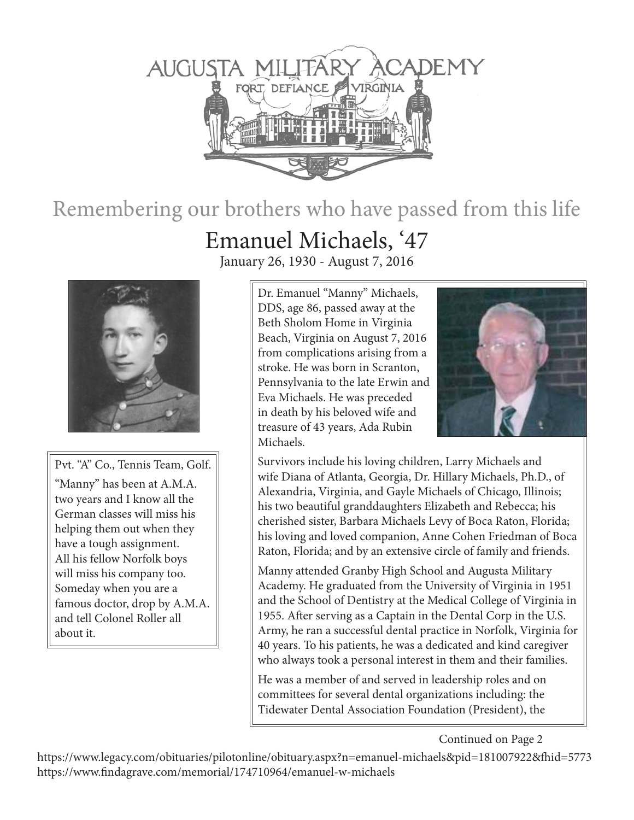

## Remembering our brothers who have passed from this life

## Emanuel Michaels, '47

January 26, 1930 - August 7, 2016



Pvt. "A" Co., Tennis Team, Golf. "Manny" has been at A.M.A. two years and I know all the German classes will miss his helping them out when they have a tough assignment. All his fellow Norfolk boys will miss his company too. Someday when you are a famous doctor, drop by A.M.A. and tell Colonel Roller all about it.

Dr. Emanuel "Manny" Michaels, DDS, age 86, passed away at the Beth Sholom Home in Virginia Beach, Virginia on August 7, 2016 from complications arising from a stroke. He was born in Scranton, Pennsylvania to the late Erwin and Eva Michaels. He was preceded in death by his beloved wife and treasure of 43 years, Ada Rubin Michaels.



Survivors include his loving children, Larry Michaels and wife Diana of Atlanta, Georgia, Dr. Hillary Michaels, Ph.D., of Alexandria, Virginia, and Gayle Michaels of Chicago, Illinois; his two beautiful granddaughters Elizabeth and Rebecca; his cherished sister, Barbara Michaels Levy of Boca Raton, Florida; his loving and loved companion, Anne Cohen Friedman of Boca Raton, Florida; and by an extensive circle of family and friends.

Manny attended Granby High School and Augusta Military Academy. He graduated from the University of Virginia in 1951 and the School of Dentistry at the Medical College of Virginia in 1955. After serving as a Captain in the Dental Corp in the U.S. Army, he ran a successful dental practice in Norfolk, Virginia for 40 years. To his patients, he was a dedicated and kind caregiver who always took a personal interest in them and their families.

He was a member of and served in leadership roles and on committees for several dental organizations including: the Tidewater Dental Association Foundation (President), the

Continued on Page 2

https://www.legacy.com/obituaries/pilotonline/obituary.aspx?n=emanuel-michaels&pid=181007922&fhid=5773 https://www.findagrave.com/memorial/174710964/emanuel-w-michaels